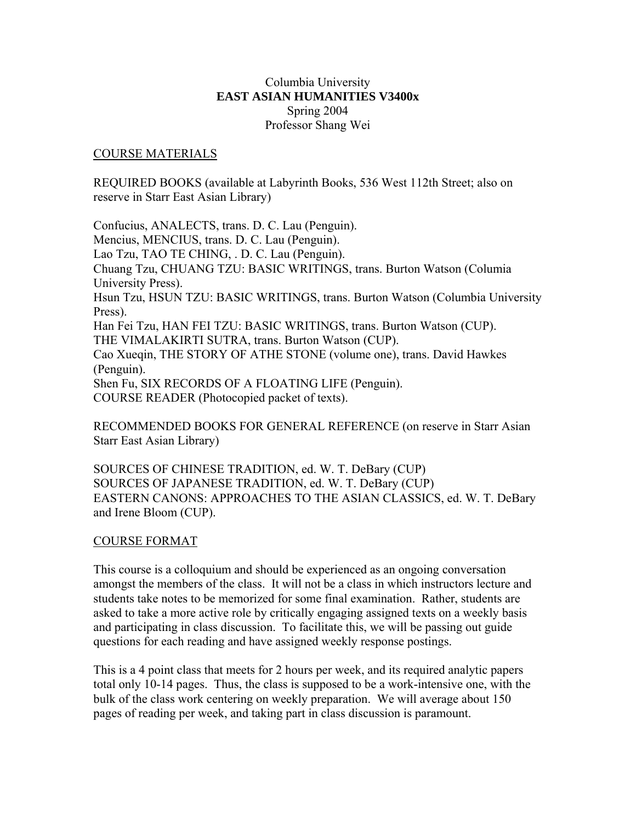# Columbia University **EAST ASIAN HUMANITIES V3400x**  Spring 2004 Professor Shang Wei

#### COURSE MATERIALS

REQUIRED BOOKS (available at Labyrinth Books, 536 West 112th Street; also on reserve in Starr East Asian Library)

Confucius, ANALECTS, trans. D. C. Lau (Penguin). Mencius, MENCIUS, trans. D. C. Lau (Penguin). Lao Tzu, TAO TE CHING, . D. C. Lau (Penguin). Chuang Tzu, CHUANG TZU: BASIC WRITINGS, trans. Burton Watson (Columia University Press). Hsun Tzu, HSUN TZU: BASIC WRITINGS, trans. Burton Watson (Columbia University Press). Han Fei Tzu, HAN FEI TZU: BASIC WRITINGS, trans. Burton Watson (CUP). THE VIMALAKIRTI SUTRA, trans. Burton Watson (CUP). Cao Xueqin, THE STORY OF ATHE STONE (volume one), trans. David Hawkes (Penguin). Shen Fu, SIX RECORDS OF A FLOATING LIFE (Penguin). COURSE READER (Photocopied packet of texts).

RECOMMENDED BOOKS FOR GENERAL REFERENCE (on reserve in Starr Asian Starr East Asian Library)

SOURCES OF CHINESE TRADITION, ed. W. T. DeBary (CUP) SOURCES OF JAPANESE TRADITION, ed. W. T. DeBary (CUP) EASTERN CANONS: APPROACHES TO THE ASIAN CLASSICS, ed. W. T. DeBary and Irene Bloom (CUP).

#### COURSE FORMAT

This course is a colloquium and should be experienced as an ongoing conversation amongst the members of the class. It will not be a class in which instructors lecture and students take notes to be memorized for some final examination. Rather, students are asked to take a more active role by critically engaging assigned texts on a weekly basis and participating in class discussion. To facilitate this, we will be passing out guide questions for each reading and have assigned weekly response postings.

This is a 4 point class that meets for 2 hours per week, and its required analytic papers total only 10-14 pages. Thus, the class is supposed to be a work-intensive one, with the bulk of the class work centering on weekly preparation. We will average about 150 pages of reading per week, and taking part in class discussion is paramount.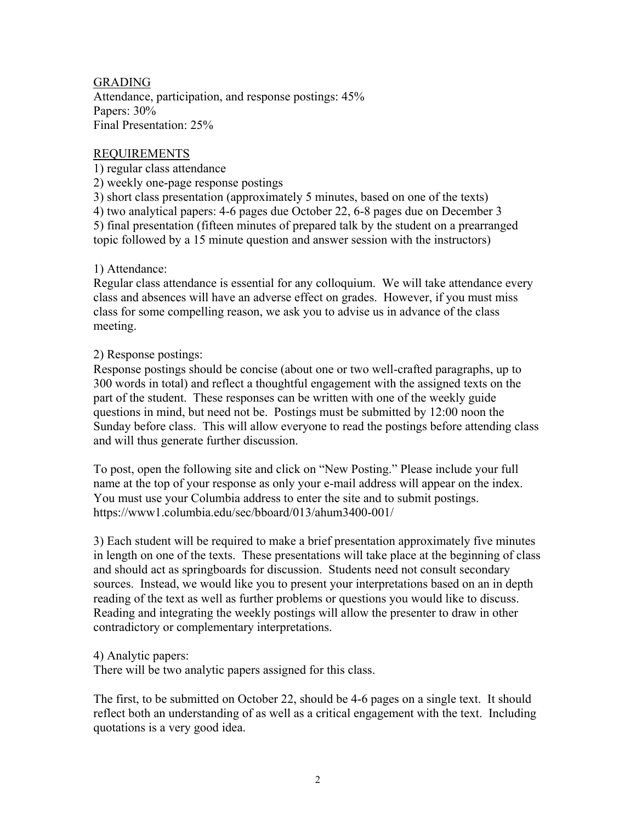# GRADING

Attendance, participation, and response postings: 45% Papers:  $30\%$ Final Presentation: 25%

# REQUIREMENTS

1) regular class attendance

2) weekly one-page response postings

3) short class presentation (approximately 5 minutes, based on one of the texts)

4) two analytical papers: 4-6 pages due October 22, 6-8 pages due on December 3 5) final presentation (fifteen minutes of prepared talk by the student on a prearranged topic followed by a 15 minute question and answer session with the instructors)

# 1) Attendance:

Regular class attendance is essential for any colloquium. We will take attendance every class and absences will have an adverse effect on grades. However, if you must miss class for some compelling reason, we ask you to advise us in advance of the class meeting.

# 2) Response postings:

Response postings should be concise (about one or two well-crafted paragraphs, up to 300 words in total) and reflect a thoughtful engagement with the assigned texts on the part of the student. These responses can be written with one of the weekly guide questions in mind, but need not be. Postings must be submitted by 12:00 noon the Sunday before class. This will allow everyone to read the postings before attending class and will thus generate further discussion.

To post, open the following site and click on "New Posting." Please include your full name at the top of your response as only your e-mail address will appear on the index. You must use your Columbia address to enter the site and to submit postings. https://www1.columbia.edu/sec/bboard/013/ahum3400-001/

3) Each student will be required to make a brief presentation approximately five minutes in length on one of the texts. These presentations will take place at the beginning of class and should act as springboards for discussion. Students need not consult secondary sources. Instead, we would like you to present your interpretations based on an in depth reading of the text as well as further problems or questions you would like to discuss. Reading and integrating the weekly postings will allow the presenter to draw in other contradictory or complementary interpretations.

# 4) Analytic papers:

There will be two analytic papers assigned for this class.

The first, to be submitted on October 22, should be 4-6 pages on a single text. It should reflect both an understanding of as well as a critical engagement with the text. Including quotations is a very good idea.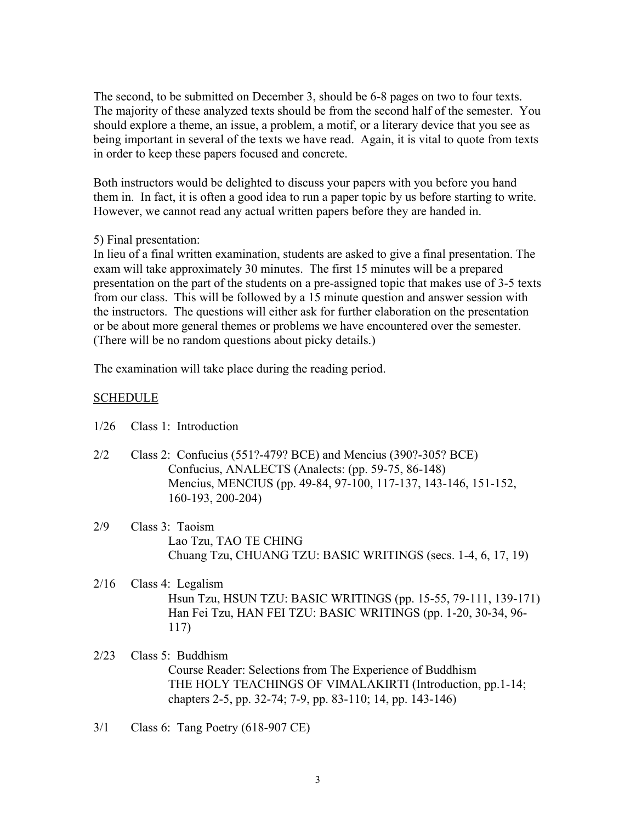The second, to be submitted on December 3, should be 6-8 pages on two to four texts. The majority of these analyzed texts should be from the second half of the semester. You should explore a theme, an issue, a problem, a motif, or a literary device that you see as being important in several of the texts we have read. Again, it is vital to quote from texts in order to keep these papers focused and concrete.

Both instructors would be delighted to discuss your papers with you before you hand them in. In fact, it is often a good idea to run a paper topic by us before starting to write. However, we cannot read any actual written papers before they are handed in.

# 5) Final presentation:

In lieu of a final written examination, students are asked to give a final presentation. The exam will take approximately 30 minutes. The first 15 minutes will be a prepared presentation on the part of the students on a pre-assigned topic that makes use of 3-5 texts from our class. This will be followed by a 15 minute question and answer session with the instructors. The questions will either ask for further elaboration on the presentation or be about more general themes or problems we have encountered over the semester. (There will be no random questions about picky details.)

The examination will take place during the reading period.

# SCHEDULE

| 1/26 |  | Class 1: Introduction |
|------|--|-----------------------|
|      |  |                       |

- 2/2 Class 2: Confucius (551?-479? BCE) and Mencius (390?-305? BCE) Confucius, ANALECTS (Analects: (pp. 59-75, 86-148) Mencius, MENCIUS (pp. 49-84, 97-100, 117-137, 143-146, 151-152, 160-193, 200-204)
- 2/9 Class 3: Taoism Lao Tzu, TAO TE CHING Chuang Tzu, CHUANG TZU: BASIC WRITINGS (secs. 1-4, 6, 17, 19)
- 2/16 Class 4: Legalism Hsun Tzu, HSUN TZU: BASIC WRITINGS (pp. 15-55, 79-111, 139-171) Han Fei Tzu, HAN FEI TZU: BASIC WRITINGS (pp. 1-20, 30-34, 96- 117)
- 2/23 Class 5: Buddhism Course Reader: Selections from The Experience of Buddhism THE HOLY TEACHINGS OF VIMALAKIRTI (Introduction, pp.1-14; chapters 2-5, pp. 32-74; 7-9, pp. 83-110; 14, pp. 143-146)
- 3/1 Class 6: Tang Poetry (618-907 CE)